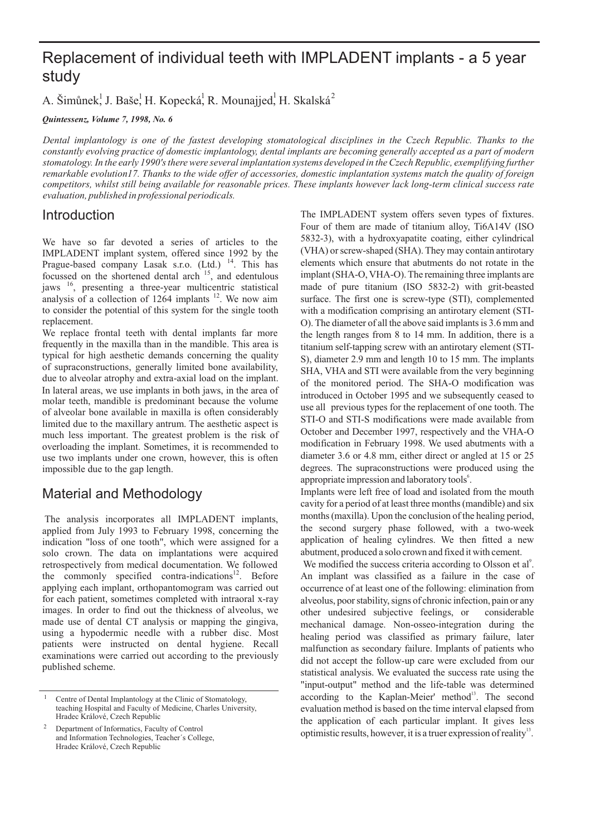# Replacement of individual teeth with IMPLADENT implants - a 5 year study

A. Šimůnek<sup>1</sup>, J. Baše<sup>1</sup>, H. Kopecká<sup>1</sup>, R. Mounajjed<sup>1</sup>, H. Skalská<sup>2</sup>

*Quintessenz, Volume 7, 1998, No. 6*

*Dental implantology is one of the fastest developing stomatological disciplines in the Czech Republic. Thanks to the constantly evolving practice of domestic implantology, dental implants are becoming generally accepted as a part of modern stomatology. In the early 1990's there were several implantation systems developed in the Czech Republic, exemplifying further remarkable evolution17. Thanks to the wide offer of accessories, domestic implantation systems match the quality of foreign competitors, whilst still being available for reasonable prices. These implants however lack long-term clinical success rate evaluation, published in professional periodicals.*

### **Introduction**

We have so far devoted a series of articles to the IMPLADENT implant system, offered since 1992 by the Prague-based company Lasak s.r.o. (Ltd.) <sup>14</sup>. This has focussed on the shortened dental arch <sup>15</sup>, and edentulous jaws 16, presenting a three-year multicentric statistical analysis of a collection of  $1264$  implants  $12$ . We now aim to consider the potential of this system for the single tooth replacement.

We replace frontal teeth with dental implants far more frequently in the maxilla than in the mandible. This area is typical for high aesthetic demands concerning the quality of supraconstructions, generally limited bone availability, due to alveolar atrophy and extra-axial load on the implant. In lateral areas, we use implants in both jaws, in the area of molar teeth, mandible is predominant because the volume of alveolar bone available in maxilla is often considerably limited due to the maxillary antrum. The aesthetic aspect is much less important. The greatest problem is the risk of overloading the implant. Sometimes, it is recommended to use two implants under one crown, however, this is often impossible due to the gap length.

## Material and Methodology

The analysis incorporates all IMPLADENT implants, applied from July 1993 to February 1998, concerning the indication "loss of one tooth", which were assigned for a solo crown. The data on implantations were acquired retrospectively from medical documentation. We followed the commonly specified contra-indications $12$ . Before applying each implant, orthopantomogram was carried out for each patient, sometimes completed with intraoral x-ray images. In order to find out the thickness of alveolus, we made use of dental CT analysis or mapping the gingiva, using a hypodermic needle with a rubber disc. Most patients were instructed on dental hygiene. Recall examinations were carried out according to the previously published scheme.

The IMPLADENT system offers seven types of fixtures. Four of them are made of titanium alloy, Ti6A14V (ISO 5832-3), with a hydroxyapatite coating, either cylindrical (VHA) or screw-shaped (SHA). They may contain antirotary elements which ensure that abutments do not rotate in the implant (SHA-O, VHA-O). The remaining three implants are made of pure titanium (ISO 5832-2) with grit-beasted surface. The first one is screw-type (STI), complemented with a modification comprising an antirotary element (STI-O). The diameter of all the above said implants is 3.6 mm and the length ranges from 8 to 14 mm. In addition, there is a titanium self-tapping screw with an antirotary element (STI-S), diameter 2.9 mm and length 10 to 15 mm. The implants SHA, VHA and STI were available from the very beginning of the monitored period. The SHA-O modification was introduced in October 1995 and we subsequently ceased to use all previous types for the replacement of one tooth. The STI-O and STI-S modifications were made available from October and December 1997, respectively and the VHA-O modification in February 1998. We used abutments with a diameter 3.6 or 4.8 mm, either direct or angled at 15 or 25 degrees. The supraconstructions were produced using the appropriate impression and laboratory tools<sup>6</sup>.

Implants were left free of load and isolated from the mouth cavity for a period of at least three months (mandible) and six months (maxilla). Upon the conclusion of the healing period, the second surgery phase followed, with a two-week application of healing cylindres. We then fitted a new abutment, produced a solo crown and fixed it with cement.

We modified the success criteria according to Olsson et al<sup>9</sup>. An implant was classified as a failure in the case of occurrence of at least one of the following: elimination from alveolus, poor stability, signs of chronic infection, pain or any other undesired subjective feelings, or considerable mechanical damage. Non-osseo-integration during the healing period was classified as primary failure, later malfunction as secondary failure. Implants of patients who did not accept the follow-up care were excluded from our statistical analysis. We evaluated the success rate using the "input-output" method and the life-table was determined according to the Kaplan-Meier' method<sup>13</sup>. The second evaluation method is based on the time interval elapsed from the application of each particular implant. It gives less optimistic results, however, it is a truer expression of reality<sup>13</sup>.

<sup>1</sup> Centre of Dental Implantology at the Clinic of Stomatology, teaching Hospital and Faculty of Medicine, Charles University, Hradec Králové, Czech Republic

<sup>2</sup> Department of Informatics, Faculty of Control and Information Technologies, Teacher´s College, Hradec Králové, Czech Republic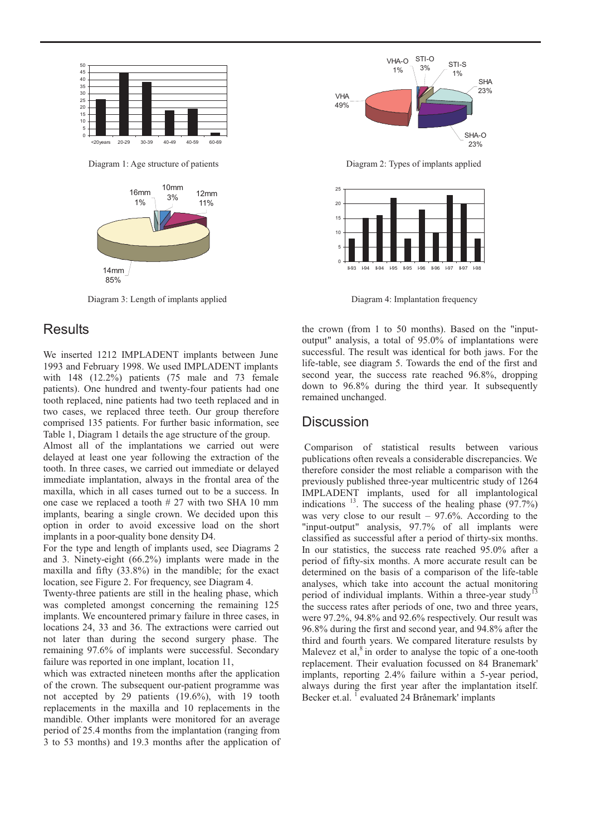

Diagram 1: Age structure of patients



Diagram 3: Length of implants applied

#### **Results**

We inserted 1212 IMPLADENT implants between June 1993 and February 1998. We used IMPLADENT implants with 148 (12.2%) patients (75 male and 73 female patients). One hundred and twenty-four patients had one tooth replaced, nine patients had two teeth replaced and in two cases, we replaced three teeth. Our group therefore comprised 135 patients. For further basic information, see Table 1, Diagram 1 details the age structure of the group.

Almost all of the implantations we carried out were delayed at least one year following the extraction of the tooth. In three cases, we carried out immediate or delayed immediate implantation, always in the frontal area of the maxilla, which in all cases turned out to be a success. In one case we replaced a tooth # 27 with two SHA 10 mm implants, bearing a single crown. We decided upon this option in order to avoid excessive load on the short implants in a poor-quality bone density D4.

For the type and length of implants used, see Diagrams 2 and 3. Ninety-eight (66.2%) implants were made in the maxilla and fifty (33.8%) in the mandible; for the exact location, see Figure 2. For frequency, see Diagram 4.

Twenty-three patients are still in the healing phase, which was completed amongst concerning the remaining 125 implants. We encountered primar y failure in three cases, in locations 24, 33 and 36. The extractions were carried out not later than during the second surgery phase. The remaining 97.6% of implants were successful. Secondary failure was reported in one implant, location 11,

which was extracted nineteen months after the application of the crown. The subsequent our-patient programme was not accepted by 29 patients (19.6%), with 19 tooth replacements in the maxilla and 10 replacements in the mandible. Other implants were monitored for an average period of 25.4 months from the implantation (ranging from 3 to 53 months) and 19.3 months after the application of



Diagram 2: Types of implants applied



Diagram 4: Implantation frequency

the crown (from 1 to 50 months). Based on the "inputoutput" analysis, a total of 95.0% of implantations were successful. The result was identical for both jaws. For the life-table, see diagram 5. Towards the end of the first and second year, the success rate reached 96.8%, dropping down to 96.8% during the third year. It subsequently remained unchanged.

#### **Discussion**

Comparison of statistical results between various publications often reveals a considerable discrepancies. We therefore consider the most reliable a comparison with the previously published three-year multicentric study of 1264 IMPLADENT implants, used for all implantological indications  $^{13}$ . The success of the healing phase (97.7%) was very close to our result  $-97.6\%$ . According to the "input-output" analysis, 97.7% of all implants were classified as successful after a period of thirty-six months. In our statistics, the success rate reached 95.0% after a period of fifty-six months. A more accurate result can be determined on the basis of a comparison of the life-table analyses, which take into account the actual monitoring period of individual implants. Within a three-year study<sup>1</sup> the success rates after periods of one, two and three years, were 97.2%, 94.8% and 92.6% respectively. Our result was 96.8% during the first and second year, and 94.8% after the third and fourth years. We compared literature resulsts by Malevez et al, $8 \text{ in order to analyse the topic of a one-tooth}$ replacement. Their evaluation focussed on 84 Branemark' implants, reporting 2.4% failure within a 5-year period, always during the first year after the implantation itself. Becker et.al. <sup>1</sup> evaluated 24 Brånemark' implants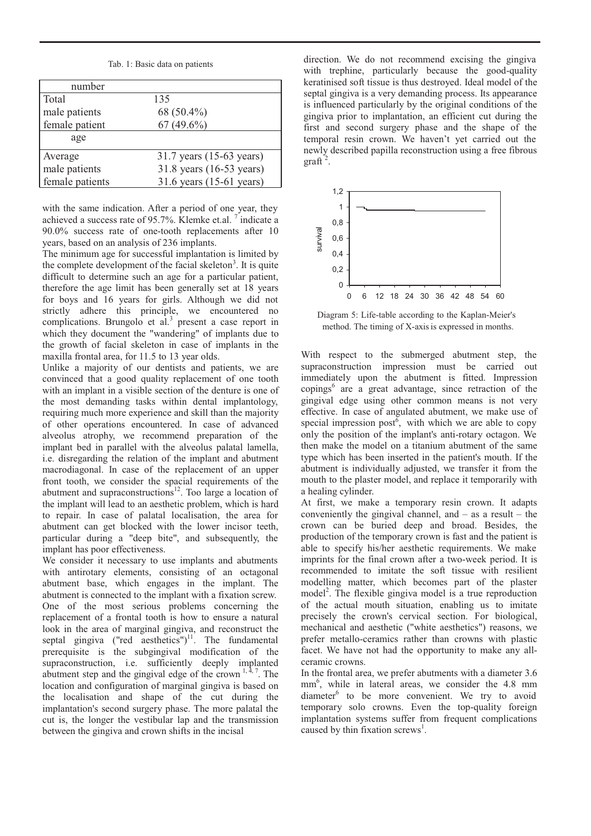Tab. 1: Basic data on patients

| number          |                          |
|-----------------|--------------------------|
| <b>Total</b>    | 135                      |
| male patients   | 68 (50.4%)               |
| female patient  | $67(49.6\%)$             |
| age             |                          |
| Average         | 31.7 years (15-63 years) |
| male patients   | 31.8 years (16-53 years) |
| female patients | 31.6 years (15-61 years) |

with the same indication. After a period of one year, they achieved a success rate of 95.7%. Klemke et.al.  $\frac{7}{1}$  indicate a 90.0% success rate of one-tooth replacements after 10 years, based on an analysis of 236 implants.

The minimum age for successful implantation is limited by the complete development of the facial skeleton<sup>3</sup>. It is quite difficult to determine such an age for a particular patient, therefore the age limit has been generally set at 18 years for boys and 16 years for girls. Although we did not strictly adhere this principle, we encountered no complications. Brungolo et al.<sup>3</sup> present a case report in which they document the "wandering" of implants due to the growth of facial skeleton in case of implants in the maxilla frontal area, for 11.5 to 13 year olds.

Unlike a majority of our dentists and patients, we are convinced that a good quality replacement of one tooth with an implant in a visible section of the denture is one of the most demanding tasks within dental implantology, requiring much more experience and skill than the majority of other operations encountered. In case of advanced alveolus atrophy, we recommend preparation of the implant bed in parallel with the alveolus palatal lamella, i.e. disregarding the relation of the implant and abutment macrodiagonal. In case of the replacement of an upper front tooth, we consider the spacial requirements of the abutment and supraconstructions $12$ . Too large a location of the implant will lead to an aesthetic problem, which is hard to repair. In case of palatal localisation, the area for abutment can get blocked with the lower incisor teeth, particular during a "deep bite", and subsequently, the implant has poor effectiveness.

We consider it necessary to use implants and abutments with antirotary elements, consisting of an octagonal abutment base, which engages in the implant. The abutment is connected to the implant with a fixation screw. One of the most serious problems concerning the replacement of a frontal tooth is how to ensure a natural look in the area of marginal gingiva, and reconstruct the septal gingiva ("red aesthetics") $11$ . The fundamental prerequisite is the subgingival modification of the supraconstruction, i.e. sufficiently deeply implanted abutment step and the gingival edge of the crown  $1, 4, 7$ . The location and configuration of marginal gingiva is based on the localisation and shape of the cut during the implantation's second surgery phase. The more palatal the cut is, the longer the vestibular lap and the transmission between the gingiva and crown shifts in the incisal

direction. We do not recommend excising the gingiva with trephine, particularly because the good-quality keratinised soft tissue is thus destroyed. Ideal model of the septal gingiva is a very demanding process. Its appearance is influenced particularly by the original conditions of the gingiva prior to implantation, an efficient cut during the first and second surgery phase and the shape of the temporal resin crown. We haven't yet carried out the newly described papilla reconstruction using a free fibrous  $graff<sup>2</sup>$ .



Diagram 5: Life-table according to the Kaplan-Meier's method. The timing of X-axis is expressed in months.

With respect to the submerged abutment step, the supraconstruction impression must be carried out immediately upon the abutment is fitted. Impression copings<sup>6</sup> are a great advantage, since retraction of the gingival edge using other common means is not very effective. In case of angulated abutment, we make use of special impression post<sup> $6$ </sup>, with which we are able to copy only the position of the implant's anti-rotary octagon. We then make the model on a titanium abutment of the same type which has been inserted in the patient's mouth. If the abutment is individually adjusted, we transfer it from the mouth to the plaster model, and replace it temporarily with a healing cylinder.

At first, we make a temporary resin crown. It adapts conveniently the gingival channel, and  $-$  as a result  $-$  the crown can be buried deep and broad. Besides, the production of the temporary crown is fast and the patient is able to specify his/her aesthetic requirements. We make imprints for the final crown after a two-week period. It is recommended to imitate the soft tissue with resilient modelling matter, which becomes part of the plaster model<sup>2</sup>. The flexible gingiva model is a true reproduction of the actual mouth situation, enabling us to imitate precisely the crown's cervical section. For biological, mechanical and aesthetic ("white aesthetics") reasons, we prefer metallo-ceramics rather than crowns with plastic facet. We have not had the opportunity to make any allceramic crowns.

In the frontal area, we prefer abutments with a diameter 3.6 mm<sup>6</sup>, while in lateral areas, we consider the 4.8 mm diameter<sup>6</sup> to be more convenient. We try to avoid temporary solo crowns. Even the top-quality foreign implantation systems suffer from frequent complications caused by thin fixation screws<sup>1</sup>.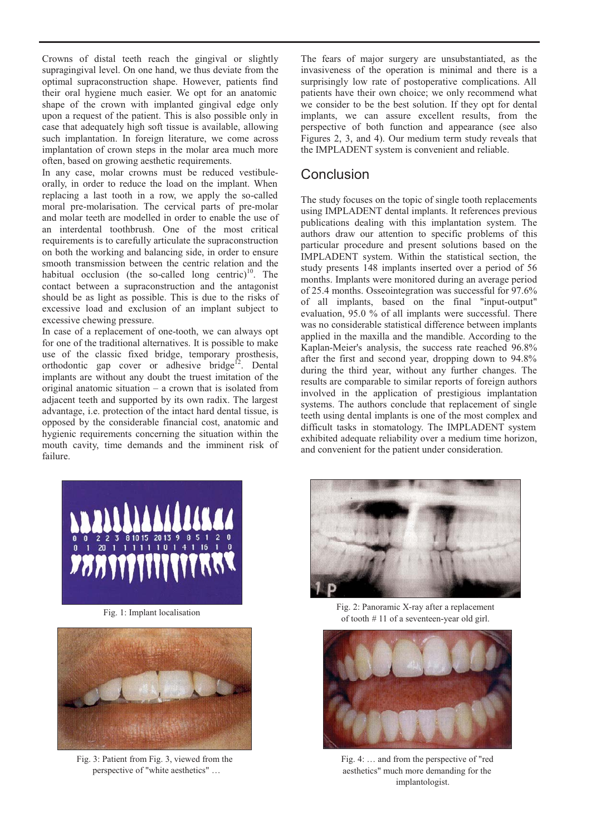Crowns of distal teeth reach the gingival or slightly supragingival level. On one hand, we thus deviate from the optimal supraconstruction shape. However, patients find their oral hygiene much easier. We opt for an anatomic shape of the crown with implanted gingival edge only upon a request of the patient. This is also possible only in case that adequately high soft tissue is available, allowing such implantation. In foreign literature, we come across implantation of crown steps in the molar area much more often, based on growing aesthetic requirements.

In any case, molar crowns must be reduced vestibuleorally, in order to reduce the load on the implant. When replacing a last tooth in a row, we apply the so-called moral pre-molarisation. The cervical parts of pre-molar and molar teeth are modelled in order to enable the use of an interdental toothbrush. One of the most critical requirements is to carefully articulate the supraconstruction on both the working and balancing side, in order to ensure smooth transmission between the centric relation and the habitual occlusion (the so-called long centric)<sup>10</sup>. The contact between a supraconstruction and the antagonist should be as light as possible. This is due to the risks of excessive load and exclusion of an implant subject to excessive chewing pressure.

In case of a replacement of one-tooth, we can always opt for one of the traditional alternatives. It is possible to make use of the classic fixed bridge, temporary prosthesis, orthodontic gap cover or adhesive bridge<sup>12</sup>. Dental implants are without any doubt the truest imitation of the original anatomic situation – a crown that is isolated from adjacent teeth and supported by its own radix. The largest advantage, i.e. protection of the intact hard dental tissue, is opposed by the considerable financial cost, anatomic and hygienic requirements concerning the situation within the mouth cavity, time demands and the imminent risk of failure.

The fears of major surgery are unsubstantiated, as the invasiveness of the operation is minimal and there is a surprisingly low rate of postoperative complications. All patients have their own choice; we only recommend what we consider to be the best solution. If they opt for dental implants, we can assure excellent results, from the perspective of both function and appearance (see also Figures 2, 3, and 4). Our medium term study reveals that the IMPLADENT system is convenient and reliable.

## **Conclusion**

The study focuses on the topic of single tooth replacements using IMPLADENT dental implants. It references previous publications dealing with this implantation system. The authors draw our attention to specific problems of this particular procedure and present solutions based on the IMPLADENT system. Within the statistical section, the study presents 148 implants inserted over a period of 56 months. Implants were monitored during an average period of 25.4 months. Osseointegration was successful for 97.6% of all implants, based on the final "input-output" evaluation, 95.0 % of all implants were successful. There was no considerable statistical difference between implants applied in the maxilla and the mandible. According to the Kaplan-Meier's analysis, the success rate reached 96.8% after the first and second year, dropping down to 94.8% during the third year, without any further changes. The results are comparable to similar reports of foreign authors involved in the application of prestigious implantation systems. The authors conclude that replacement of single teeth using dental implants is one of the most complex and difficult tasks in stomatology. The IMPLADENT system exhibited adequate reliability over a medium time horizon, and convenient for the patient under consideration.





Fig. 3: Patient from Fig. 3, viewed from the perspective of "white aesthetics" …



Fig. 1: Implant localisation Fig. 2: Panoramic X-ray after a replacement of tooth # 11 of a seventeen-year old girl.



Fig. 4: … and from the perspective of "red aesthetics" much more demanding for the implantologist.